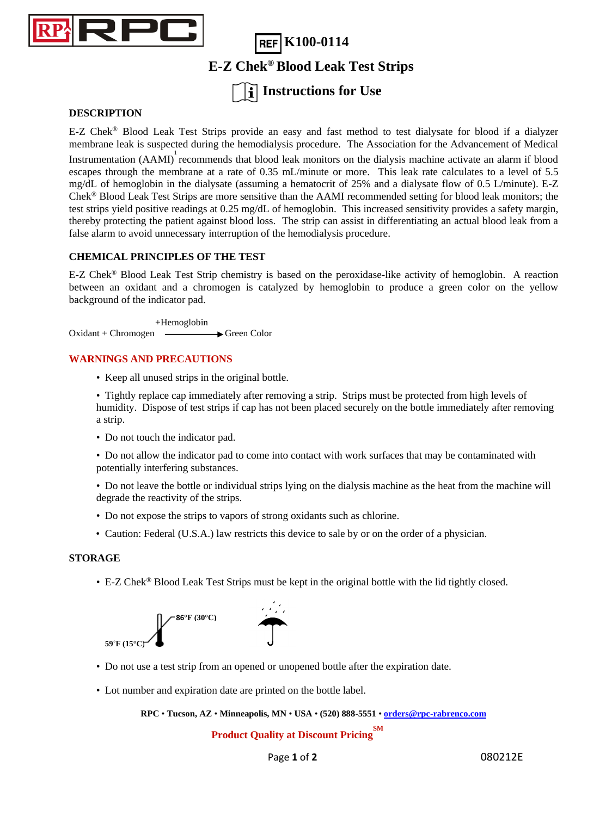

**REF K100-0114 E-Z Chek® Blood Leak Test Strips**

# **Instructions for Use**

### **DESCRIPTION**

E-Z Chek® Blood Leak Test Strips provide an easy and fast method to test dialysate for blood if a dialyzer membrane leak is suspected during the hemodialysis procedure. The Association for the Advancement of Medical

Instrumentation  $(AAMI)^T$  recommends that blood leak monitors on the dialysis machine activate an alarm if blood escapes through the membrane at a rate of 0.35 mL/minute or more. This leak rate calculates to a level of 5.5 mg/dL of hemoglobin in the dialysate (assuming a hematocrit of 25% and a dialysate flow of 0.5 L/minute). E-Z Chek® Blood Leak Test Strips are more sensitive than the AAMI recommended setting for blood leak monitors; the test strips yield positive readings at 0.25 mg/dL of hemoglobin. This increased sensitivity provides a safety margin, thereby protecting the patient against blood loss. The strip can assist in differentiating an actual blood leak from a false alarm to avoid unnecessary interruption of the hemodialysis procedure.

### **CHEMICAL PRINCIPLES OF THE TEST**

E-Z Chek® Blood Leak Test Strip chemistry is based on the peroxidase-like activity of hemoglobin. A reaction between an oxidant and a chromogen is catalyzed by hemoglobin to produce a green color on the yellow background of the indicator pad.

 +Hemoglobin  $Oxidant + Chromogen \longrightarrow Green Color$ 

#### **WARNINGS AND PRECAUTIONS**

• Keep all unused strips in the original bottle.

• Tightly replace cap immediately after removing a strip. Strips must be protected from high levels of humidity. Dispose of test strips if cap has not been placed securely on the bottle immediately after removing a strip.

- Do not touch the indicator pad.
- Do not allow the indicator pad to come into contact with work surfaces that may be contaminated with potentially interfering substances.
- Do not leave the bottle or individual strips lying on the dialysis machine as the heat from the machine will degrade the reactivity of the strips.
- Do not expose the strips to vapors of strong oxidants such as chlorine.
- Caution: Federal (U.S.A.) law restricts this device to sale by or on the order of a physician.

#### **STORAGE**

• E-Z Chek® Blood Leak Test Strips must be kept in the original bottle with the lid tightly closed.



- Do not use a test strip from an opened or unopened bottle after the expiration date.
- Lot number and expiration date are printed on the bottle label.

**RPC** • **Tucson, AZ** • **Minneapolis, MN** • **USA** • **(520) 888-5551** • **<orders@rpc-rabrenco.com>**

### **Product Quality at Discount Pricing SM**